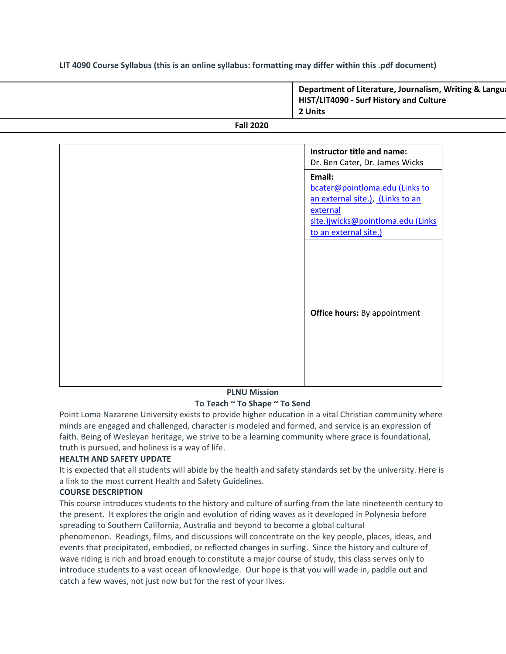### **LIT 4090 Course Syllabus (this is an online syllabus: formatting may differ within this .pdf document)**

|                  | Department of Literature, Journalism, Writing & Langua<br>HIST/LIT4090 - Surf History and Culture<br>2 Units |
|------------------|--------------------------------------------------------------------------------------------------------------|
| <b>Fall 2020</b> |                                                                                                              |

| Instructor title and name:<br>Dr. Ben Cater, Dr. James Wicks                                                                                           |
|--------------------------------------------------------------------------------------------------------------------------------------------------------|
| Email:<br>bcater@pointloma.edu (Links to<br>an external site.), (Links to an<br>external<br>site.)jwicks@pointloma.edu (Links<br>to an external site.) |
| <b>Office hours:</b> By appointment                                                                                                                    |

#### **PLNU Mission To Teach ~ To Shape ~ To Send**

Point Loma Nazarene University exists to provide higher education in a vital Christian community where minds are engaged and challenged, character is modeled and formed, and service is an expression of faith. Being of Wesleyan heritage, we strive to be a learning community where grace is foundational, truth is pursued, and holiness is a way of life.

# **HEALTH AND SAFETY UPDATE**

It is expected that all students will abide by the health and safety standards set by the university. Here is a link to the most current Health and Safety Guidelines.

### **COURSE DESCRIPTION**

This course introduces students to the history and culture of surfing from the late nineteenth century to the present. It explores the origin and evolution of riding waves as it developed in Polynesia before spreading to Southern California, Australia and beyond to become a global cultural

phenomenon. Readings, films, and discussions will concentrate on the key people, places, ideas, and events that precipitated, embodied, or reflected changes in surfing. Since the history and culture of wave riding is rich and broad enough to constitute a major course of study, this class serves only to introduce students to a vast ocean of knowledge. Our hope is that you will wade in, paddle out and catch a few waves, not just now but for the rest of your lives.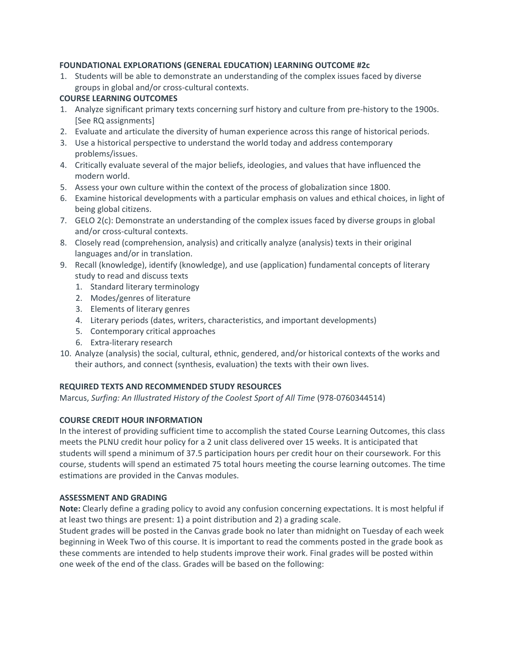### **FOUNDATIONAL EXPLORATIONS (GENERAL EDUCATION) LEARNING OUTCOME #2c**

1. Students will be able to demonstrate an understanding of the complex issues faced by diverse groups in global and/or cross-cultural contexts.

### **COURSE LEARNING OUTCOMES**

- 1. Analyze significant primary texts concerning surf history and culture from pre-history to the 1900s. [See RQ assignments]
- 2. Evaluate and articulate the diversity of human experience across this range of historical periods.
- 3. Use a historical perspective to understand the world today and address contemporary problems/issues.
- 4. Critically evaluate several of the major beliefs, ideologies, and values that have influenced the modern world.
- 5. Assess your own culture within the context of the process of globalization since 1800.
- 6. Examine historical developments with a particular emphasis on values and ethical choices, in light of being global citizens.
- 7. GELO 2(c): Demonstrate an understanding of the complex issues faced by diverse groups in global and/or cross-cultural contexts.
- 8. Closely read (comprehension, analysis) and critically analyze (analysis) texts in their original languages and/or in translation.
- 9. Recall (knowledge), identify (knowledge), and use (application) fundamental concepts of literary study to read and discuss texts
	- 1. Standard literary terminology
	- 2. Modes/genres of literature
	- 3. Elements of literary genres
	- 4. Literary periods (dates, writers, characteristics, and important developments)
	- 5. Contemporary critical approaches
	- 6. Extra-literary research
- 10. Analyze (analysis) the social, cultural, ethnic, gendered, and/or historical contexts of the works and their authors, and connect (synthesis, evaluation) the texts with their own lives.

# **REQUIRED TEXTS AND RECOMMENDED STUDY RESOURCES**

Marcus, *Surfing: An Illustrated History of the Coolest Sport of All Time* (978-0760344514)

# **COURSE CREDIT HOUR INFORMATION**

In the interest of providing sufficient time to accomplish the stated Course Learning Outcomes, this class meets the PLNU credit hour policy for a 2 unit class delivered over 15 weeks. It is anticipated that students will spend a minimum of 37.5 participation hours per credit hour on their coursework. For this course, students will spend an estimated 75 total hours meeting the course learning outcomes. The time estimations are provided in the Canvas modules.

### **ASSESSMENT AND GRADING**

**Note:** Clearly define a grading policy to avoid any confusion concerning expectations. It is most helpful if at least two things are present: 1) a point distribution and 2) a grading scale.

Student grades will be posted in the Canvas grade book no later than midnight on Tuesday of each week beginning in Week Two of this course. It is important to read the comments posted in the grade book as these comments are intended to help students improve their work. Final grades will be posted within one week of the end of the class. Grades will be based on the following: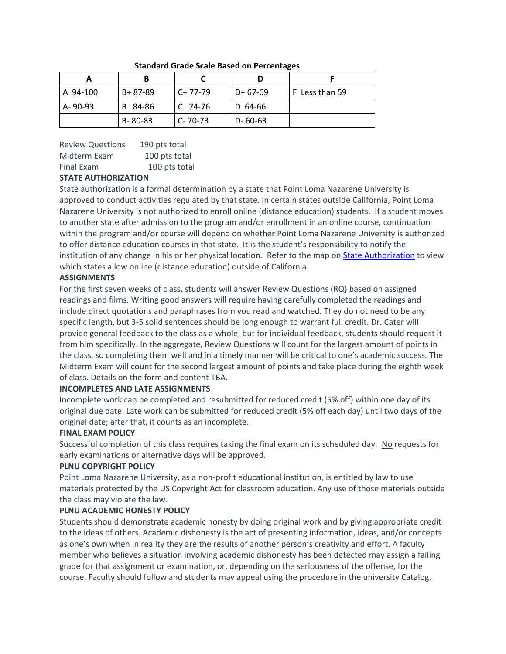| A 94-100 | B+ 87-89 | $C+77-79$     | $D+67-69$     | F Less than 59 |
|----------|----------|---------------|---------------|----------------|
| A-90-93  | B 84-86  | C 74-76       | D 64-66       |                |
|          | B-80-83  | $C - 70 - 73$ | $D - 60 - 63$ |                |

#### **Standard Grade Scale Based on Percentages**

# Review Questions 190 pts total Midterm Exam 100 pts total Final Exam 100 pts total

# **STATE AUTHORIZATION**

State authorization is a formal determination by a state that Point Loma Nazarene University is approved to conduct activities regulated by that state. In certain states outside California, Point Loma Nazarene University is not authorized to enroll online (distance education) students. If a student moves to another state after admission to the program and/or enrollment in an online course, continuation within the program and/or course will depend on whether Point Loma Nazarene University is authorized to offer distance education courses in that state. It is the student's responsibility to notify the institution of any change in his or her physical location. Refer to the map on [State Authorization](https://www.pointloma.edu/offices/office-institutional-effectiveness-research/disclosures) to view which states allow online (distance education) outside of California.

# **ASSIGNMENTS**

For the first seven weeks of class, students will answer Review Questions (RQ) based on assigned readings and films. Writing good answers will require having carefully completed the readings and include direct quotations and paraphrases from you read and watched. They do not need to be any specific length, but 3-5 solid sentences should be long enough to warrant full credit. Dr. Cater will provide general feedback to the class as a whole, but for individual feedback, students should request it from him specifically. In the aggregate, Review Questions will count for the largest amount of points in the class, so completing them well and in a timely manner will be critical to one's academic success. The Midterm Exam will count for the second largest amount of points and take place during the eighth week of class. Details on the form and content TBA.

# **INCOMPLETES AND LATE ASSIGNMENTS**

Incomplete work can be completed and resubmitted for reduced credit (5% off) within one day of its original due date. Late work can be submitted for reduced credit (5% off each day) until two days of the original date; after that, it counts as an incomplete.

# **FINAL EXAM POLICY**

Successful completion of this class requires taking the final exam on its scheduled day. No requests for early examinations or alternative days will be approved.

# **PLNU COPYRIGHT POLICY**

Point Loma Nazarene University, as a non-profit educational institution, is entitled by law to use materials protected by the US Copyright Act for classroom education. Any use of those materials outside the class may violate the law.

# **PLNU ACADEMIC HONESTY POLICY**

Students should demonstrate academic honesty by doing original work and by giving appropriate credit to the ideas of others. Academic dishonesty is the act of presenting information, ideas, and/or concepts as one's own when in reality they are the results of another person's creativity and effort. A faculty member who believes a situation involving academic dishonesty has been detected may assign a failing grade for that assignment or examination, or, depending on the seriousness of the offense, for the course. Faculty should follow and students may appeal using the procedure in the university Catalog.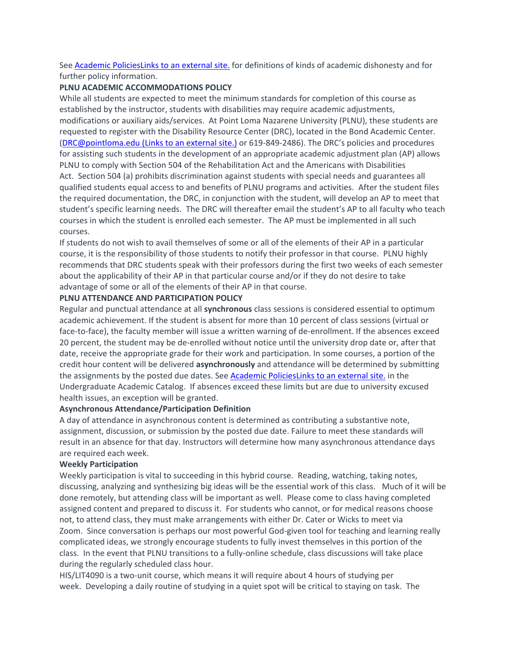See [Academic PoliciesLinks](http://catalog.pointloma.edu/content.php?catoid=18&navoid=1278) to an external site. for definitions of kinds of academic dishonesty and for further policy information.

#### **PLNU ACADEMIC ACCOMMODATIONS POLICY**

While all students are expected to meet the minimum standards for completion of this course as established by the instructor, students with disabilities may require academic adjustments, modifications or auxiliary aids/services. At Point Loma Nazarene University (PLNU), these students are requested to register with the Disability Resource Center (DRC), located in the Bond Academic Center. [\(DRC@pointloma.edu](https://mail.google.com/mail/?view=cm&fs=1&tf=1&to=DRC@pointloma.edu) (Links to an external site.) or 619-849-2486). The DRC's policies and procedures for assisting such students in the development of an appropriate academic adjustment plan (AP) allows PLNU to comply with Section 504 of the Rehabilitation Act and the Americans with Disabilities Act. Section 504 (a) prohibits discrimination against students with special needs and guarantees all qualified students equal access to and benefits of PLNU programs and activities. After the student files the required documentation, the DRC, in conjunction with the student, will develop an AP to meet that student's specific learning needs. The DRC will thereafter email the student's AP to all faculty who teach courses in which the student is enrolled each semester. The AP must be implemented in all such courses.

If students do not wish to avail themselves of some or all of the elements of their AP in a particular course, it is the responsibility of those students to notify their professor in that course. PLNU highly recommends that DRC students speak with their professors during the first two weeks of each semester about the applicability of their AP in that particular course and/or if they do not desire to take advantage of some or all of the elements of their AP in that course.

#### **PLNU ATTENDANCE AND PARTICIPATION POLICY**

Regular and punctual attendance at all **synchronous** class sessions is considered essential to optimum academic achievement. If the student is absent for more than 10 percent of class sessions (virtual or face-to-face), the faculty member will issue a written warning of de-enrollment. If the absences exceed 20 percent, the student may be de-enrolled without notice until the university drop date or, after that date, receive the appropriate grade for their work and participation. In some courses, a portion of the credit hour content will be delivered **asynchronously** and attendance will be determined by submitting the assignments by the posted due dates. See [Academic PoliciesLinks](https://catalog.pointloma.edu/content.php?catoid=46&navoid=2650#Class_Attendance) to an external site. in the Undergraduate Academic Catalog. If absences exceed these limits but are due to university excused health issues, an exception will be granted.

#### **Asynchronous Attendance/Participation Definition**

A day of attendance in asynchronous content is determined as contributing a substantive note, assignment, discussion, or submission by the posted due date. Failure to meet these standards will result in an absence for that day. Instructors will determine how many asynchronous attendance days are required each week.

#### **Weekly Participation**

Weekly participation is vital to succeeding in this hybrid course. Reading, watching, taking notes, discussing, analyzing and synthesizing big ideas will be the essential work of this class. Much of it will be done remotely, but attending class will be important as well. Please come to class having completed assigned content and prepared to discuss it. For students who cannot, or for medical reasons choose not, to attend class, they must make arrangements with either Dr. Cater or Wicks to meet via Zoom. Since conversation is perhaps our most powerful God-given tool for teaching and learning really complicated ideas, we strongly encourage students to fully invest themselves in this portion of the class. In the event that PLNU transitions to a fully-online schedule, class discussions will take place during the regularly scheduled class hour.

HIS/LIT4090 is a two-unit course, which means it will require about 4 hours of studying per week. Developing a daily routine of studying in a quiet spot will be critical to staying on task. The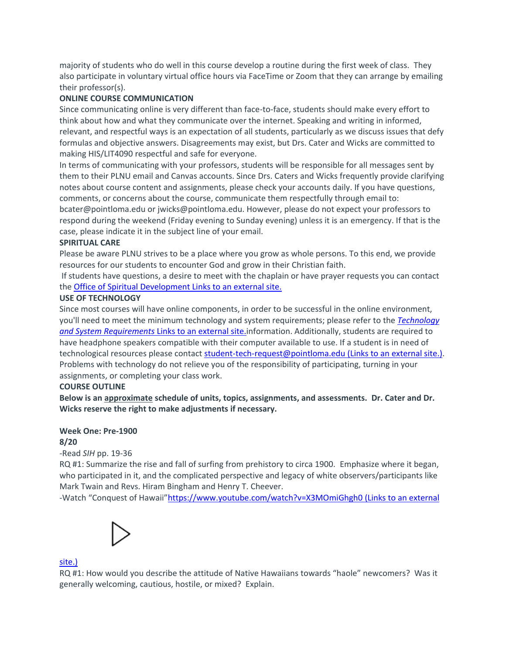majority of students who do well in this course develop a routine during the first week of class. They also participate in voluntary virtual office hours via FaceTime or Zoom that they can arrange by emailing their professor(s).

### **ONLINE COURSE COMMUNICATION**

Since communicating online is very different than face-to-face, students should make every effort to think about how and what they communicate over the internet. Speaking and writing in informed, relevant, and respectful ways is an expectation of all students, particularly as we discuss issues that defy formulas and objective answers. Disagreements may exist, but Drs. Cater and Wicks are committed to making HIS/LIT4090 respectful and safe for everyone.

In terms of communicating with your professors, students will be responsible for all messages sent by them to their PLNU email and Canvas accounts. Since Drs. Caters and Wicks frequently provide clarifying notes about course content and assignments, please check your accounts daily. If you have questions, comments, or concerns about the course, communicate them respectfully through email to: bcater@pointloma.edu or jwicks@pointloma.edu. However, please do not expect your professors to respond during the weekend (Friday evening to Sunday evening) unless it is an emergency. If that is the case, please indicate it in the subject line of your email.

### **SPIRITUAL CARE**

Please be aware PLNU strives to be a place where you grow as whole persons. To this end, we provide resources for our students to encounter God and grow in their Christian faith.

If students have questions, a desire to meet with the chaplain or have prayer requests you can contact the [Office of Spiritual Development](https://www.pointloma.edu/offices/spiritual-development) Links to an external site.

#### **USE OF TECHNOLOGY**

Since most courses will have online components, in order to be successful in the online environment, you'll need to meet the minimum technology and system requirements; please refer to the *[Technology](https://help.pointloma.edu/TDClient/1808/Portal/KB/ArticleDet?ID=108349)  [and System Requirements](https://help.pointloma.edu/TDClient/1808/Portal/KB/ArticleDet?ID=108349)* Links to an external site.information. Additionally, students are required to have headphone speakers compatible with their computer available to use. If a student is in need of technological resources please contact [student-tech-request@pointloma.edu](https://mail.google.com/mail/?view=cm&fs=1&tf=1&to=student-tech-request@pointloma.edu) (Links to an external site.). Problems with technology do not relieve you of the responsibility of participating, turning in your assignments, or completing your class work.

### **COURSE OUTLINE**

**Below is an approximate schedule of units, topics, assignments, and assessments. Dr. Cater and Dr. Wicks reserve the right to make adjustments if necessary.**

#### **Week One: Pre-1900 8/20**

*-*Read *SIH* pp. 19-36

RQ #1: Summarize the rise and fall of surfing from prehistory to circa 1900. Emphasize where it began, who participated in it, and the complicated perspective and legacy of white observers/participants like Mark Twain and Revs. Hiram Bingham and Henry T. Cheever.

-Watch "Conquest of Hawaii"<https://www.youtube.com/watch?v=X3MOmiGhgh0> (Links to an external



#### [site.\)](https://www.youtube.com/watch?v=X3MOmiGhgh0)

RQ #1: How would you describe the attitude of Native Hawaiians towards "haole" newcomers? Was it generally welcoming, cautious, hostile, or mixed? Explain.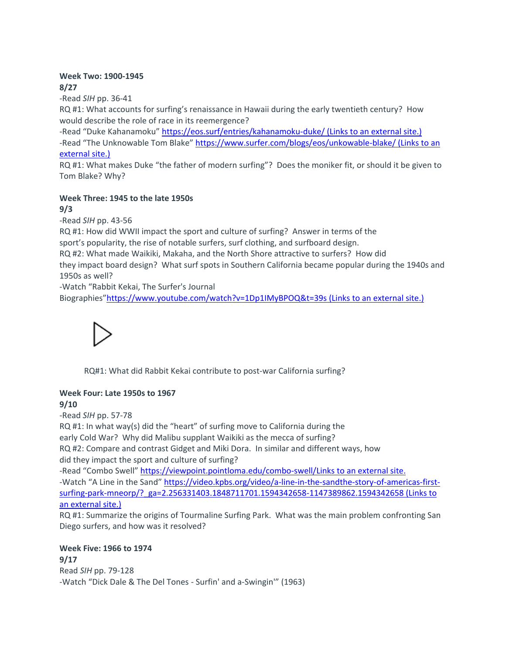### **Week Two: 1900-1945 8/27**

-Read *SIH* pp. 36-41

RQ #1: What accounts for surfing's renaissance in Hawaii during the early twentieth century? How would describe the role of race in its reemergence?

-Read "Duke Kahanamoku" <https://eos.surf/entries/kahanamoku-duke/> (Links to an external site.) -Read "The Unknowable Tom Blake" <https://www.surfer.com/blogs/eos/unkowable-blake/> (Links to an [external](https://www.surfer.com/blogs/eos/unkowable-blake/) site.)

RQ #1: What makes Duke "the father of modern surfing"? Does the moniker fit, or should it be given to Tom Blake? Why?

#### **Week Three: 1945 to the late 1950s 9/3**

-Read *SIH* pp. 43-56

RQ #1: How did WWII impact the sport and culture of surfing? Answer in terms of the sport's popularity, the rise of notable surfers, surf clothing, and surfboard design.

RQ #2: What made Waikiki, Makaha, and the North Shore attractive to surfers? How did they impact board design? What surf spots in Southern California became popular during the 1940s and 1950s as well?

-Watch "Rabbit Kekai, The Surfer's Journal [Biographies"](https://www.youtube.com/watch?v=1Dp1IMyBPOQ&t=39s)<https://www.youtube.com/watch?v=1Dp1IMyBPOQ&t=39s> (Links to an external site.)



RQ#1: What did Rabbit Kekai contribute to post-war California surfing?

# **Week Four: Late 1950s to 1967**

**9/10**

-Read *SIH* pp. 57-78

RQ #1: In what way(s) did the "heart" of surfing move to California during the

early Cold War? Why did Malibu supplant Waikiki as the mecca of surfing?

RQ #2: Compare and contrast Gidget and Miki Dora. In similar and different ways, how did they impact the sport and culture of surfing?

-Read "Combo Swell" [https://viewpoint.pointloma.edu/combo-swell/Links](https://viewpoint.pointloma.edu/combo-swell/) to an external site.

-Watch "A Line in the Sand" [https://video.kpbs.org/video/a-line-in-the-sandthe-story-of-americas-first](https://video.kpbs.org/video/a-line-in-the-sandthe-story-of-americas-first-surfing-park-mneorp/?_ga=2.256331403.1848711701.1594342658-1147389862.1594342658)surfing-park-mneorp/? ga=2.256331403.1848711701.1594342658-1147389862.1594342658 (Links to an [external](https://video.kpbs.org/video/a-line-in-the-sandthe-story-of-americas-first-surfing-park-mneorp/?_ga=2.256331403.1848711701.1594342658-1147389862.1594342658) site.)

RQ #1: Summarize the origins of Tourmaline Surfing Park. What was the main problem confronting San Diego surfers, and how was it resolved?

**Week Five: 1966 to 1974 9/17**

Read *SIH* pp. 79-128 -Watch "Dick Dale & The Del Tones - Surfin' and a-Swingin'" (1963)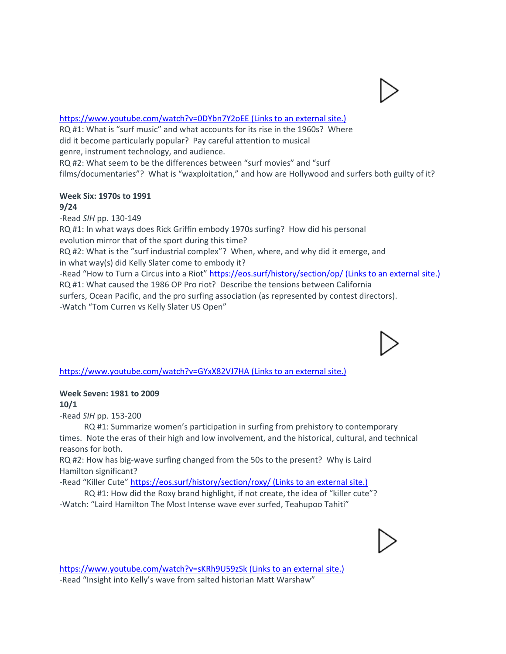### <https://www.youtube.com/watch?v=0DYbn7Y2oEE> (Links to an external site.[\)](https://www.youtube.com/watch?v=0DYbn7Y2oEE)

RQ #1: What is "surf music" and what accounts for its rise in the 1960s? Where did it become particularly popular? Pay careful attention to musical genre, instrument technology, and audience. RQ #2: What seem to be the differences between "surf movies" and "surf films/documentaries"? What is "waxploitation," and how are Hollywood and surfers both guilty of it?

#### **Week Six: 1970s to 1991 9/24**

-Read *SIH* pp. 130-149 RQ #1: In what ways does Rick Griffin embody 1970s surfing? How did his personal evolution mirror that of the sport during this time? RQ #2: What is the "surf industrial complex"? When, where, and why did it emerge, and in what way(s) did Kelly Slater come to embody it? -Read "How to Turn a Circus into a Riot" <https://eos.surf/history/section/op/> (Links to an external site.) RQ #1: What caused the 1986 OP Pro riot? Describe the tensions between California surfers, Ocean Pacific, and the pro surfing association (as represented by contest directors). -Watch "Tom Curren vs Kelly Slater US Open"

# <https://www.youtube.com/watch?v=GYxX82VJ7HA> (Links to an external site.[\)](https://www.youtube.com/watch?v=GYxX82VJ7HA)

# **Week Seven: 1981 to 2009**

**10/1**

-Read *SIH* pp. 153-200

 RQ #1: Summarize women's participation in surfing from prehistory to contemporary times. Note the eras of their high and low involvement, and the historical, cultural, and technical reasons for both.

RQ #2: How has big-wave surfing changed from the 50s to the present? Why is Laird Hamilton significant?

-Read "Killer Cute" <https://eos.surf/history/section/roxy/> (Links to an external site.)

 RQ #1: How did the Roxy brand highlight, if not create, the idea of "killer cute"? -Watch: "Laird Hamilton The Most Intense wave ever surfed, Teahupoo Tahit[i"](https://www.youtube.com/watch?v=sKRh9U59zSk)



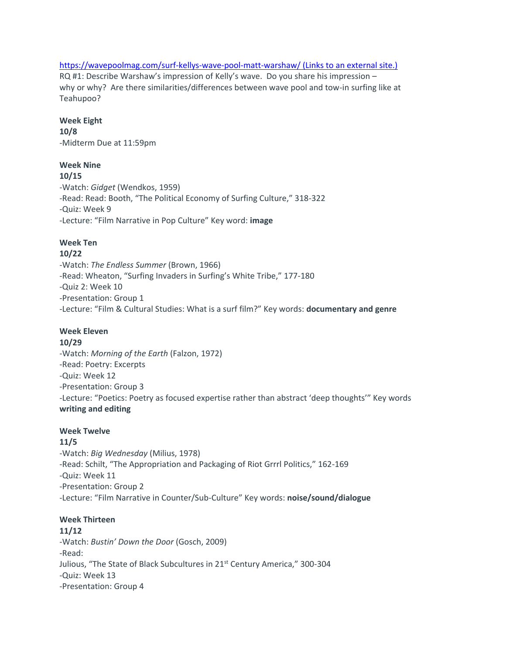### <https://wavepoolmag.com/surf-kellys-wave-pool-matt-warshaw/> (Links to an external site.) RQ #1: Describe Warshaw's impression of Kelly's wave. Do you share his impression – why or why? Are there similarities/differences between wave pool and tow-in surfing like at Teahupoo?

### **Week Eight**

**10/8** -Midterm Due at 11:59pm

# **Week Nine**

**10/15** -Watch: *Gidget* (Wendkos, 1959) -Read: Read: Booth, "The Political Economy of Surfing Culture," 318-322 -Quiz: Week 9 -Lecture: "Film Narrative in Pop Culture" Key word: **image**

# **Week Ten**

### **10/22**

-Watch: *The Endless Summer* (Brown, 1966) -Read: Wheaton, "Surfing Invaders in Surfing's White Tribe," 177-180 -Quiz 2: Week 10 -Presentation: Group 1 -Lecture: "Film & Cultural Studies: What is a surf film?" Key words: **documentary and genre**

# **Week Eleven**

**10/29**

-Watch: *Morning of the Earth* (Falzon, 1972) -Read: Poetry: Excerpts -Quiz: Week 12 -Presentation: Group 3 -Lecture: "Poetics: Poetry as focused expertise rather than abstract 'deep thoughts'" Key words **writing and editing**

# **Week Twelve**

# **11/5**

-Watch: *Big Wednesday* (Milius, 1978) -Read: Schilt, "The Appropriation and Packaging of Riot Grrrl Politics," 162-169 -Quiz: Week 11 -Presentation: Group 2 -Lecture: "Film Narrative in Counter/Sub-Culture" Key words: **noise/sound/dialogue**

# **Week Thirteen**

# **11/12**

-Watch: *Bustin' Down the Door* (Gosch, 2009) -Read: Julious, "The State of Black Subcultures in 21<sup>st</sup> Century America," 300-304 -Quiz: Week 13 -Presentation: Group 4